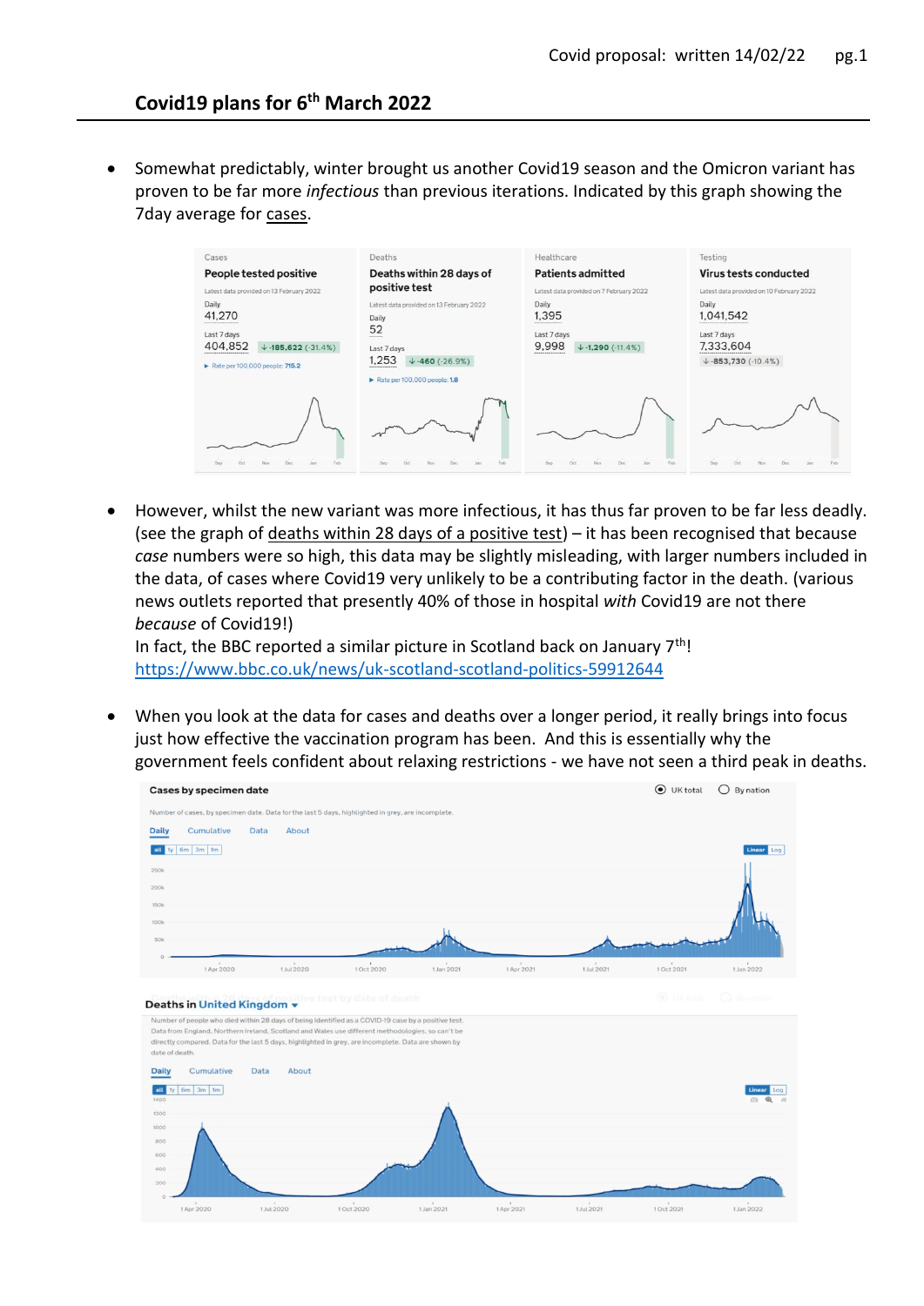• Somewhat predictably, winter brought us another Covid19 season and the Omicron variant has proven to be far more *infectious* than previous iterations. Indicated by this graph showing the 7day average for cases.

| Cases                                                                                                                                        | Deaths                                                                                                                                                                                                   | Healthcare                                                                                | Testing                                                                                                          |
|----------------------------------------------------------------------------------------------------------------------------------------------|----------------------------------------------------------------------------------------------------------------------------------------------------------------------------------------------------------|-------------------------------------------------------------------------------------------|------------------------------------------------------------------------------------------------------------------|
| People tested positive                                                                                                                       | Deaths within 28 days of                                                                                                                                                                                 | <b>Patients admitted</b>                                                                  | Virus tests conducted                                                                                            |
| Latest data provided on 13 February 2022                                                                                                     | positive test                                                                                                                                                                                            | Latest data provided on 7 February 2022                                                   | Latest data provided on 10 February 2022                                                                         |
| Daily<br>41,270<br><br>Last 7 days<br>404.852<br>$\downarrow$ -185,622 (-31.4%)<br>,,,,,,,,,,,,,,,,,,,,,,,<br>Rate per 100,000 people: 715.2 | Latest data provided on 13 February 2022<br>Daily<br>52<br><b>STARTES</b><br>Last 7 days<br>1.253<br>$\sqrt{-460}$ (-26.9%)<br><b>NORTHERN CONTRACT</b><br>$\triangleright$ Rate per 100,000 people: 1.8 | Daily<br>1,395<br><br>Last 7 days<br>9.998<br>$\sqrt{-1,290}$ (-11.4%)<br>*************** | Daily<br>1.041.542<br>----------------------------<br>Last 7 days<br>7.333,604<br>$\downarrow$ -853,730 (-10.4%) |
|                                                                                                                                              | Oil                                                                                                                                                                                                      |                                                                                           |                                                                                                                  |

 However, whilst the new variant was more infectious, it has thus far proven to be far less deadly. (see the graph of deaths within 28 days of a positive test)  $-$  it has been recognised that because *case* numbers were so high, this data may be slightly misleading, with larger numbers included in the data, of cases where Covid19 very unlikely to be a contributing factor in the death. (various news outlets reported that presently 40% of those in hospital *with* Covid19 are not there *because* of Covid19!)

In fact, the BBC reported a similar picture in Scotland back on January  $7<sup>th</sup>!$ <https://www.bbc.co.uk/news/uk-scotland-scotland-politics-59912644>

 When you look at the data for cases and deaths over a longer period, it really brings into focus just how effective the vaccination program has been. And this is essentially why the government feels confident about relaxing restrictions - we have not seen a third peak in deaths.

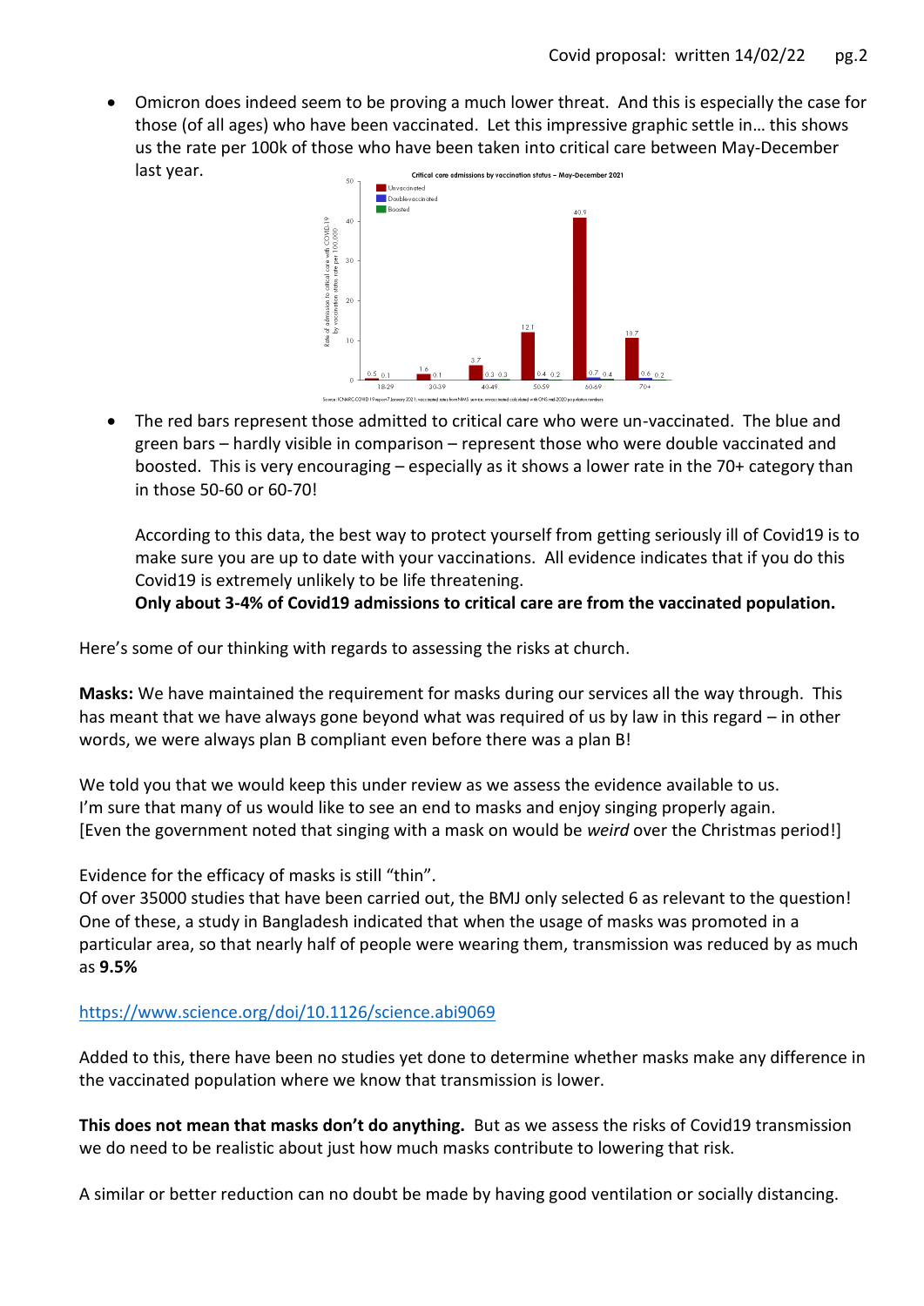Omicron does indeed seem to be proving a much lower threat. And this is especially the case for those (of all ages) who have been vaccinated. Let this impressive graphic settle in… this shows us the rate per 100k of those who have been taken into critical care between May-December last year. Critical care admissions by vaccination status - May-December 2021



 The red bars represent those admitted to critical care who were un-vaccinated. The blue and green bars – hardly visible in comparison – represent those who were double vaccinated and boosted. This is very encouraging – especially as it shows a lower rate in the 70+ category than in those 50-60 or 60-70!

According to this data, the best way to protect yourself from getting seriously ill of Covid19 is to make sure you are up to date with your vaccinations. All evidence indicates that if you do this Covid19 is extremely unlikely to be life threatening.

**Only about 3-4% of Covid19 admissions to critical care are from the vaccinated population.**

Here's some of our thinking with regards to assessing the risks at church.

**Masks:** We have maintained the requirement for masks during our services all the way through. This has meant that we have always gone beyond what was required of us by law in this regard – in other words, we were always plan B compliant even before there was a plan B!

We told you that we would keep this under review as we assess the evidence available to us. I'm sure that many of us would like to see an end to masks and enjoy singing properly again. [Even the government noted that singing with a mask on would be *weird* over the Christmas period!]

Evidence for the efficacy of masks is still "thin".

Of over 35000 studies that have been carried out, the BMJ only selected 6 as relevant to the question! One of these, a study in Bangladesh indicated that when the usage of masks was promoted in a particular area, so that nearly half of people were wearing them, transmission was reduced by as much as **9.5%**

<https://www.science.org/doi/10.1126/science.abi9069>

Added to this, there have been no studies yet done to determine whether masks make any difference in the vaccinated population where we know that transmission is lower.

**This does not mean that masks don't do anything.** But as we assess the risks of Covid19 transmission we do need to be realistic about just how much masks contribute to lowering that risk.

A similar or better reduction can no doubt be made by having good ventilation or socially distancing.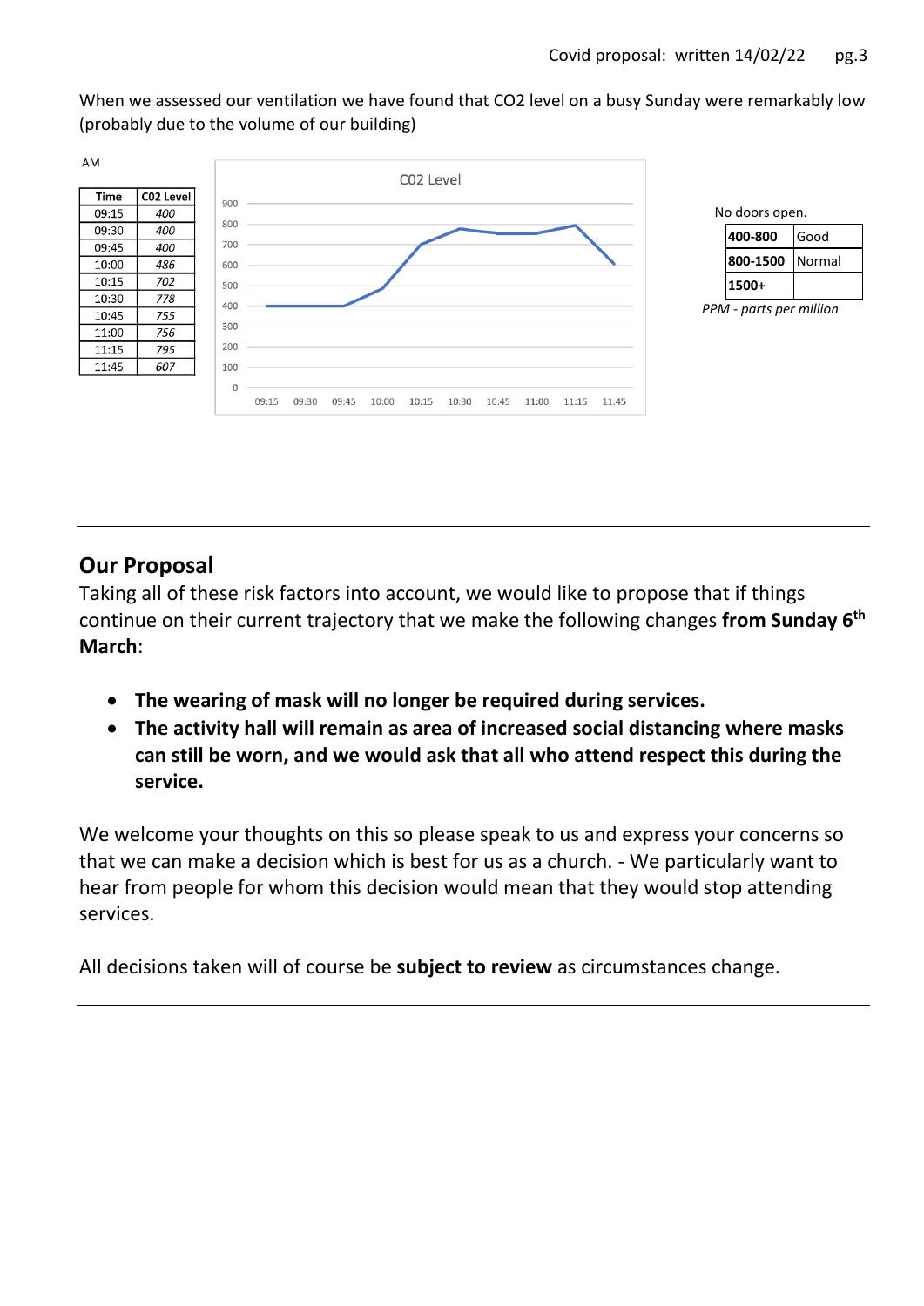When we assessed our ventilation we have found that CO2 level on a busy Sunday were remarkably low (probably due to the volume of our building)





*PPM - parts per million*

## **Our Proposal**

Taking all of these risk factors into account, we would like to propose that if things continue on their current trajectory that we make the following changes **from Sunday 6th March**:

- **The wearing of mask will no longer be required during services.**
- **The activity hall will remain as area of increased social distancing where masks can still be worn, and we would ask that all who attend respect this during the service.**

We welcome your thoughts on this so please speak to us and express your concerns so that we can make a decision which is best for us as a church. - We particularly want to hear from people for whom this decision would mean that they would stop attending services.

All decisions taken will of course be **subject to review** as circumstances change.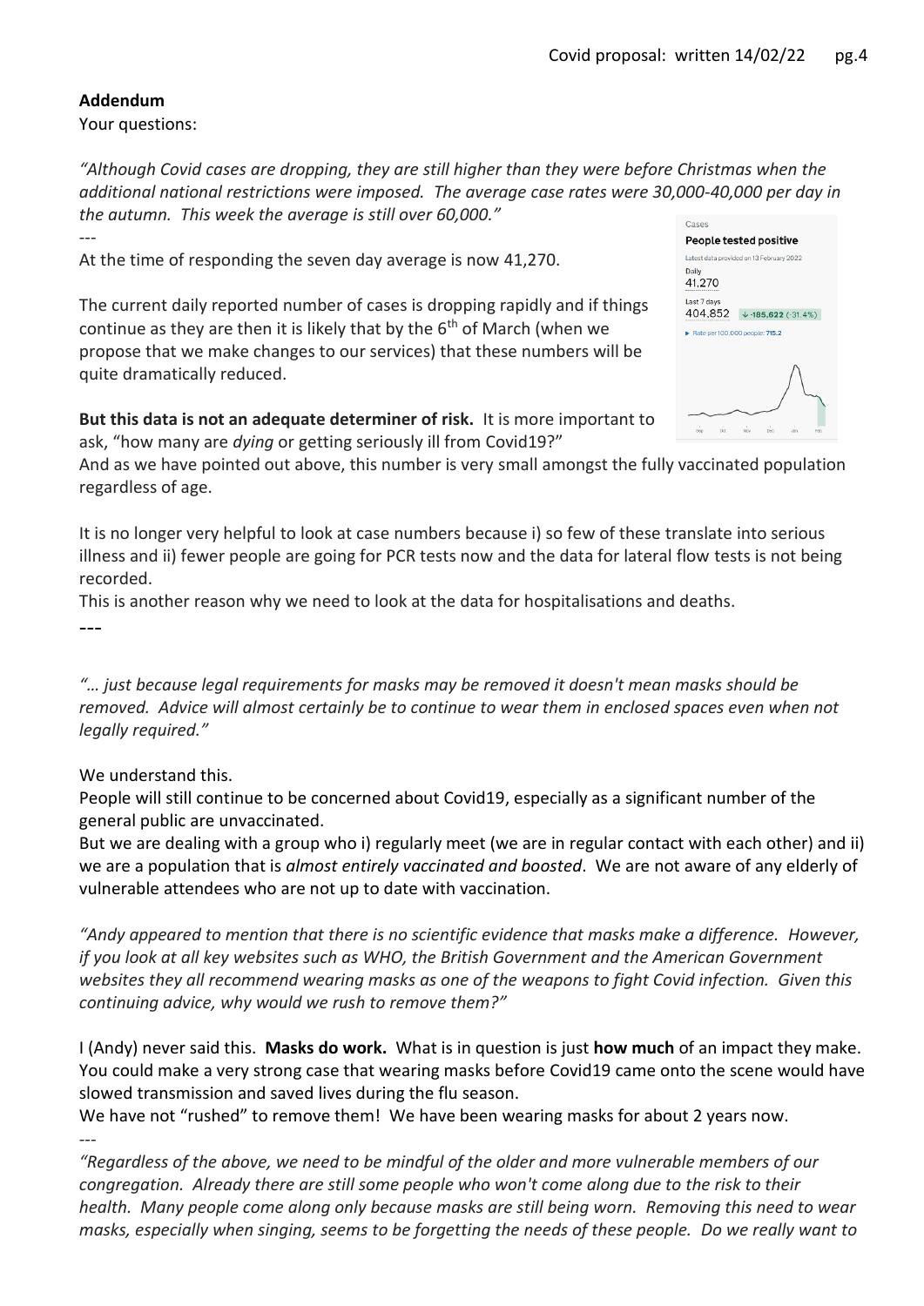## **Addendum**

Your questions:

*"Although Covid cases are dropping, they are still higher than they were before Christmas when the additional national restrictions were imposed. The average case rates were 30,000-40,000 per day in the autumn. This week the average is still over 60,000."* Cases ---

At the time of responding the seven day average is now 41,270.

The current daily reported number of cases is dropping rapidly and if things continue as they are then it is likely that by the  $6<sup>th</sup>$  of March (when we propose that we make changes to our services) that these numbers will be quite dramatically reduced.

**But this data is not an adequate determiner of risk.** It is more important to ask, "how many are *dying* or getting seriously ill from Covid19?"

And as we have pointed out above, this number is very small amongst the fully vaccinated population regardless of age.

It is no longer very helpful to look at case numbers because i) so few of these translate into serious illness and ii) fewer people are going for PCR tests now and the data for lateral flow tests is not being recorded.

This is another reason why we need to look at the data for hospitalisations and deaths.

---

*---*

*"… just because legal requirements for masks may be removed it doesn't mean masks should be removed. Advice will almost certainly be to continue to wear them in enclosed spaces even when not legally required."* 

We understand this.

People will still continue to be concerned about Covid19, especially as a significant number of the general public are unvaccinated.

But we are dealing with a group who i) regularly meet (we are in regular contact with each other) and ii) we are a population that is *almost entirely vaccinated and boosted*. We are not aware of any elderly of vulnerable attendees who are not up to date with vaccination.

*"Andy appeared to mention that there is no scientific evidence that masks make a difference. However, if you look at all key websites such as WHO, the British Government and the American Government websites they all recommend wearing masks as one of the weapons to fight Covid infection. Given this continuing advice, why would we rush to remove them?"*

I (Andy) never said this. **Masks do work.** What is in question is just **how much** of an impact they make. You could make a very strong case that wearing masks before Covid19 came onto the scene would have slowed transmission and saved lives during the flu season.

We have not "rushed" to remove them! We have been wearing masks for about 2 years now.

*"Regardless of the above, we need to be mindful of the older and more vulnerable members of our congregation. Already there are still some people who won't come along due to the risk to their health. Many people come along only because masks are still being worn. Removing this need to wear masks, especially when singing, seems to be forgetting the needs of these people. Do we really want to* 

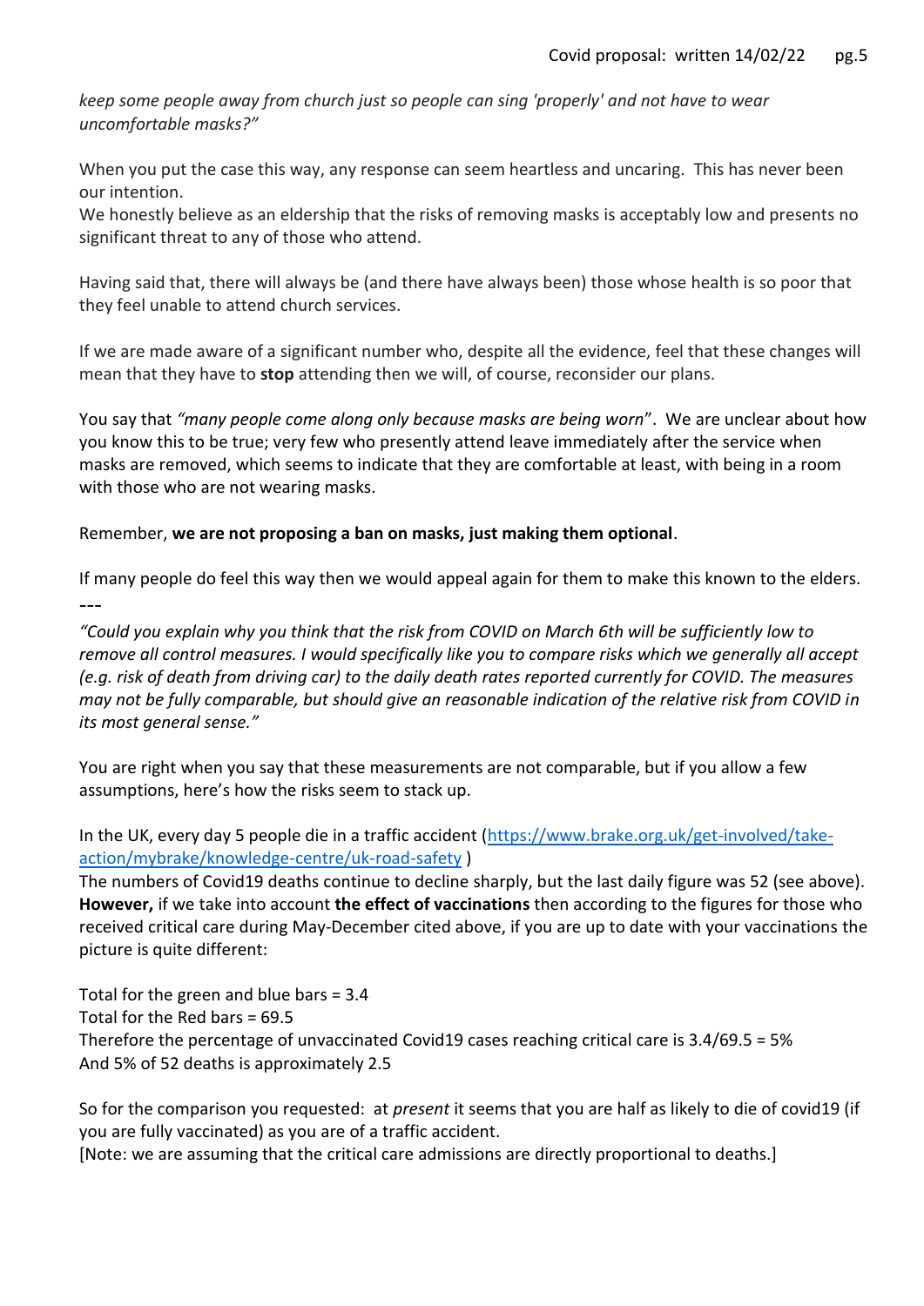*keep some people away from church just so people can sing 'properly' and not have to wear uncomfortable masks?"*

When you put the case this way, any response can seem heartless and uncaring. This has never been our intention.

We honestly believe as an eldership that the risks of removing masks is acceptably low and presents no significant threat to any of those who attend.

Having said that, there will always be (and there have always been) those whose health is so poor that they feel unable to attend church services.

If we are made aware of a significant number who, despite all the evidence, feel that these changes will mean that they have to **stop** attending then we will, of course, reconsider our plans.

You say that *"many people come along only because masks are being worn*". We are unclear about how you know this to be true; very few who presently attend leave immediately after the service when masks are removed, which seems to indicate that they are comfortable at least, with being in a room with those who are not wearing masks.

Remember, **we are not proposing a ban on masks, just making them optional**.

If many people do feel this way then we would appeal again for them to make this known to the elders. ---

*"Could you explain why you think that the risk from COVID on March 6th will be sufficiently low to remove all control measures. I would specifically like you to compare risks which we generally all accept (e.g. risk of death from driving car) to the daily death rates reported currently for COVID. The measures may not be fully comparable, but should give an reasonable indication of the relative risk from COVID in its most general sense."*

You are right when you say that these measurements are not comparable, but if you allow a few assumptions, here's how the risks seem to stack up.

In the UK, every day 5 people die in a traffic accident [\(https://www.brake.org.uk/get-involved/take](https://www.brake.org.uk/get-involved/take-action/mybrake/knowledge-centre/uk-road-safety)[action/mybrake/knowledge-centre/uk-road-safety](https://www.brake.org.uk/get-involved/take-action/mybrake/knowledge-centre/uk-road-safety) )

The numbers of Covid19 deaths continue to decline sharply, but the last daily figure was 52 (see above). **However,** if we take into account **the effect of vaccinations** then according to the figures for those who received critical care during May-December cited above, if you are up to date with your vaccinations the picture is quite different:

Total for the green and blue bars = 3.4 Total for the Red bars = 69.5 Therefore the percentage of unvaccinated Covid19 cases reaching critical care is 3.4/69.5 = 5% And 5% of 52 deaths is approximately 2.5

So for the comparison you requested: at *present* it seems that you are half as likely to die of covid19 (if you are fully vaccinated) as you are of a traffic accident.

[Note: we are assuming that the critical care admissions are directly proportional to deaths.]